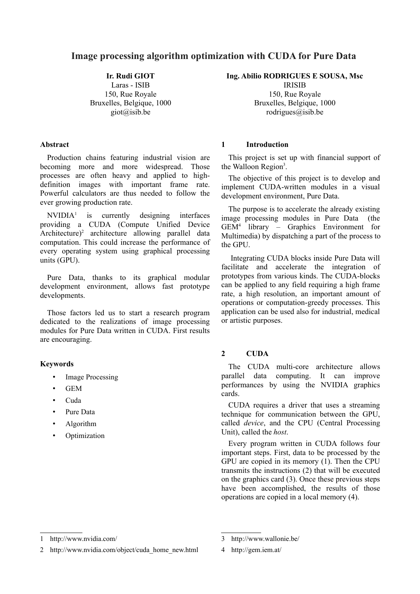# **Image processing algorithm optimization with CUDA for Pure Data**

**Ir. Rudi GIOT**

Laras - ISIB 150, Rue Royale Bruxelles, Belgique, 1000 giot@isib.be

#### **Abstract**

Production chains featuring industrial vision are becoming more and more widespread. Those processes are often heavy and applied to highdefinition images with important frame rate. Powerful calculators are thus needed to follow the ever growing production rate.

 $NVIDIA<sup>1</sup>$  $NVIDIA<sup>1</sup>$  $NVIDIA<sup>1</sup>$  is currently designing interfaces providing a CUDA (Compute Unified Device Architecture)<sup>[2](#page-0-1)</sup> architecture allowing parallel data computation. This could increase the performance of every operating system using graphical processing units (GPU).

Pure Data, thanks to its graphical modular development environment, allows fast prototype developments.

Those factors led us to start a research program dedicated to the realizations of image processing modules for Pure Data written in CUDA. First results are encouraging.

## **Keywords**

- Image Processing
- GEM
- Cuda
- Pure Data
- Algorithm
- Optimization

**Ing. Abilio RODRIGUES E SOUSA, Msc**

IRISIB 150, Rue Royale Bruxelles, Belgique, 1000 rodrigues $@$ isib.be

## **1 Introduction**

This project is set up with financial support of the Walloon Region<sup>[3](#page-0-2)</sup>.

The objective of this project is to develop and implement CUDA-written modules in a visual development environment, Pure Data.

The purpose is to accelerate the already existing image processing modules in Pure Data (the GEM[4](#page-0-3) library – Graphics Environment for Multimedia) by dispatching a part of the process to the GPU.

 Integrating CUDA blocks inside Pure Data will facilitate and accelerate the integration of prototypes from various kinds. The CUDA-blocks can be applied to any field requiring a high frame rate, a high resolution, an important amount of operations or computation-greedy processes. This application can be used also for industrial, medical or artistic purposes.

## **2 CUDA**

The CUDA multi-core architecture allows parallel data computing. It can improve performances by using the NVIDIA graphics cards.

CUDA requires a driver that uses a streaming technique for communication between the GPU, called *device*, and the CPU (Central Processing Unit), called the *host*.

Every program written in CUDA follows four important steps. First, data to be processed by the GPU are copied in its memory (1). Then the CPU transmits the instructions (2) that will be executed on the graphics card (3). Once these previous steps have been accomplished, the results of those operations are copied in a local memory (4).

<span id="page-0-0"></span><sup>1</sup> http://www.nvidia.com/

<span id="page-0-1"></span><sup>2</sup> http://www.nvidia.com/object/cuda\_home\_new.html

<span id="page-0-2"></span><sup>3</sup> http://www.wallonie.be/

<span id="page-0-3"></span><sup>4</sup> http://gem.iem.at/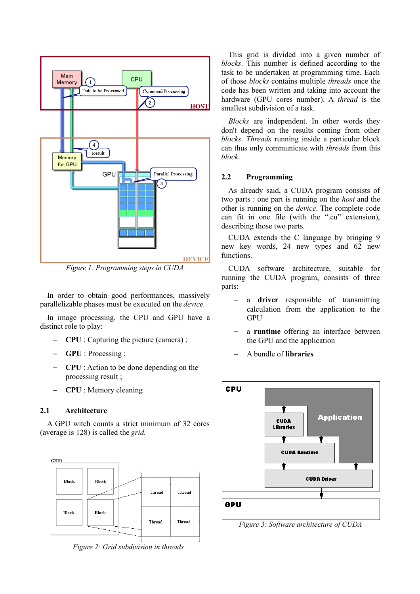

*Figure 1: Programming steps in CUDA*

In order to obtain good performances, massively parallelizable phases must be executed on the *device.*

In image processing, the CPU and GPU have a distinct role to play:

- **CPU** : Capturing the picture (camera) ;
- **GPU** : Processing ;
- **CPU** : Action to be done depending on the processing result ;
- **CPU** : Memory cleaning

## **2.1 Architecture**

A GPU witch counts a strict minimum of 32 cores (average is 128) is called the *grid.* 



*Figure 2: Grid subdivision in threads*

This grid is divided into a given number of *blocks*. This number is defined according to the task to be undertaken at programming time. Each of those *blocks* contains multiple *threads* once the code has been written and taking into account the hardware (GPU cores number). A *thread* is the smallest subdivision of a task.

*Blocks* are independent. In other words they don't depend on the results coming from other *blocks*. *Threads* running inside a particular block can thus only communicate with *threads* from this *block*.

## **2.2 Programming**

As already said, a CUDA program consists of two parts : one part is running on the *host* and the other is running on the *device*. The complete code can fit in one file (with the ".cu" extension), describing those two parts.

CUDA extends the C language by bringing 9 new key words, 24 new types and 62 new functions.

CUDA software architecture, suitable for running the CUDA program, consists of three parts:

- a **driver** responsible of transmitting calculation from the application to the GPU
- a **runtime** offering an interface between the GPU and the application
- A bundle of **libraries**



*Figure 3: Software architecture of CUDA*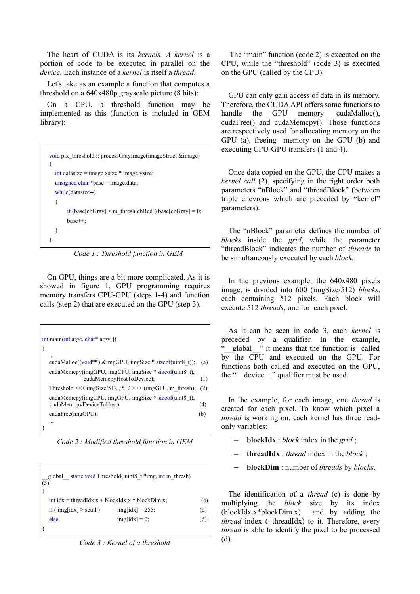The heart of CUDA is its *kernels. A kernel* is a portion of code to be executed in parallel on the *device*. Each instance of a *kernel* is itself a *thread*.

Let's take as an example a function that computes a threshold on a 640x480p grayscale picture (8 bits):

On a CPU, a threshold function may be implemented as this (function is included in GEM library):

| <u>void</u> pix threshold :: processGrayImage(imageStruct $\&$ image) |  |  |  |  |
|-----------------------------------------------------------------------|--|--|--|--|
| $\frac{1}{2}$ int datasize = image.xsize * image.ysize.               |  |  |  |  |
| unsigned char *base = image.data;                                     |  |  |  |  |
| while(datasize--)                                                     |  |  |  |  |
|                                                                       |  |  |  |  |
| if (base[chGray] $\leq$ m thresh[chRed]) base[chGray] = 0;            |  |  |  |  |
| $base++$ :                                                            |  |  |  |  |
|                                                                       |  |  |  |  |
|                                                                       |  |  |  |  |

*Code 1 : Threshold function in GEM*

On GPU, things are a bit more complicated. As it is showed in figure 1, GPU programming requires memory transfers CPU-GPU (steps 1-4) and function calls (step 2) that are executed on the GPU (step 3).

| $int \text{ main}(\text{int } \text{arg} c, \text{char}^* \text{arg} v)$          |     |
|-----------------------------------------------------------------------------------|-----|
| cudaMalloc( $(void**)$ &imgGPU, imgSize * sizeof(uint8 t));                       | (a) |
| cudaMemcpy(imgGPU, imgCPU, imgSize * sizeof(uint8 t),<br>cudaMemcpyHostToDevice); | (1) |
| Threshold $<<$ imgSize/512, 512 >>> (imgGPU, m thresh);                           | (2) |
| cudaMemcpy(imgCPU, imgGPU, imgSize * sizeof(uint8 t),<br>cudaMemcpyDeviceToHost); | (4) |
| cudaFree(imgGPU);                                                                 | (b) |
|                                                                                   |     |

*Code 2 : Modified threshold function in GEM*

| global static void Threshold (uint8 t *img, int m thresh)<br>$\vert$ (3) |                                                                |                    |     |  |  |
|--------------------------------------------------------------------------|----------------------------------------------------------------|--------------------|-----|--|--|
|                                                                          | (c)<br>$\int$ int idx = threadIdx.x + blockIdx.x * blockDim.x; |                    |     |  |  |
|                                                                          | if (img[idx] $>$ seuil)                                        | $img$ [idx] = 255; | (d) |  |  |
|                                                                          | else                                                           | $img$ [idx] = 0;   | (d) |  |  |
|                                                                          |                                                                |                    |     |  |  |

*Code 3 : Kernel of a threshold*

 The "main" function (code 2) is executed on the CPU, while the "threshold" (code 3) is executed on the GPU (called by the CPU).

GPU can only gain access of data in its memory. Therefore, the CUDA API offers some functions to handle the GPU memory: cudaMalloc(), cudaFree() and cudaMemcpy(). Those functions are respectively used for allocating memory on the GPU (a), freeing memory on the GPU (b) and executing CPU-GPU transfers (1 and 4).

Once data copied on the GPU, the CPU makes a *kernel call* (2), specifying in the right order both parameters "nBlock" and "threadBlock" (between triple chevrons which are preceded by "kernel" parameters).

The "nBlock" parameter defines the number of *blocks* inside the *grid*, while the parameter "threadBlock" indicates the number of *threads* to be simultaneously executed by each *block*.

In the previous example, the 640x480 pixels image, is divided into 600 (imgSize/512) *blocks*, each containing 512 pixels. Each block will execute 512 *threads*, one for each pixel.

As it can be seen in code 3, each *kernel* is preceded by a qualifier. In the example, global\_" it means that the function is called by the CPU and executed on the GPU. For functions both called and executed on the GPU, the "\_\_device\_\_" qualifier must be used.

In the example, for each image, one *thread* is created for each pixel. To know which pixel a *thread* is working on, each kernel has three readonly variables:

- **blockIdx** : *block* index in the *grid* ;
- **threadIdx** : *thread* index in the *block* ;
- **blockDim** : number of *threads* by *blocks*.

The identification of a *thread* (c) is done by multiplying the *block* size by its index (blockIdx.x\*blockDim.x) and by adding the *thread* index (+threadIdx) to it. Therefore, every *thread* is able to identify the pixel to be processed (d).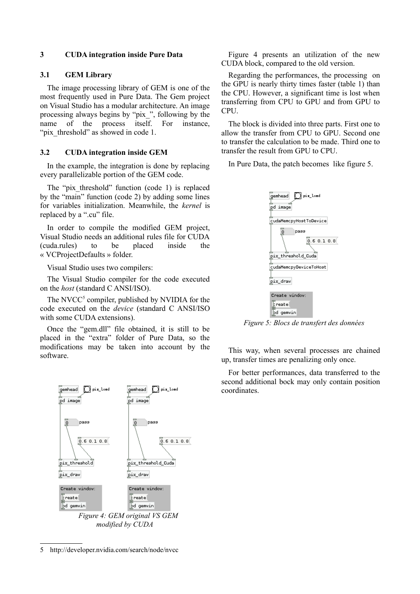## **3 CUDA integration inside Pure Data**

#### **3.1 GEM Library**

The image processing library of GEM is one of the most frequently used in Pure Data. The Gem project on Visual Studio has a modular architecture. An image processing always begins by "pix\_", following by the name of the process itself. For instance, "pix threshold" as showed in code 1.

#### **3.2 CUDA integration inside GEM**

In the example, the integration is done by replacing every parallelizable portion of the GEM code.

The "pix threshold" function (code 1) is replaced by the "main" function (code 2) by adding some lines for variables initialization. Meanwhile, the *kernel* is replaced by a ".cu" file.

In order to compile the modified GEM project, Visual Studio needs an additional rules file for CUDA (cuda.rules) to be placed inside the « VCProjectDefaults » folder.

Visual Studio uses two compilers:

The Visual Studio compiler for the code executed on the *host* (standard C ANSI/ISO).

The NVCC<sup>[5](#page-3-0)</sup> compiler, published by NVIDIA for the code executed on the *device* (standard C ANSI/ISO with some CUDA extensions).

Once the "gem.dll" file obtained, it is still to be placed in the "extra" folder of Pure Data, so the modifications may be taken into account by the software.



*modified by CUDA*

<span id="page-3-0"></span>5 http://developer.nvidia.com/search/node/nvcc

Figure 4 presents an utilization of the new CUDA block, compared to the old version.

Regarding the performances, the processing on the GPU is nearly thirty times faster (table 1) than the CPU. However, a significant time is lost when transferring from CPU to GPU and from GPU to CPU.

The block is divided into three parts. First one to allow the transfer from CPU to GPU. Second one to transfer the calculation to be made. Third one to transfer the result from GPU to CPU.

In Pure Data, the patch becomes like figure 5.



*Figure 5: Blocs de transfert des données*

This way, when several processes are chained up, transfer times are penalizing only once.

For better performances, data transferred to the second additional bock may only contain position coordinates.